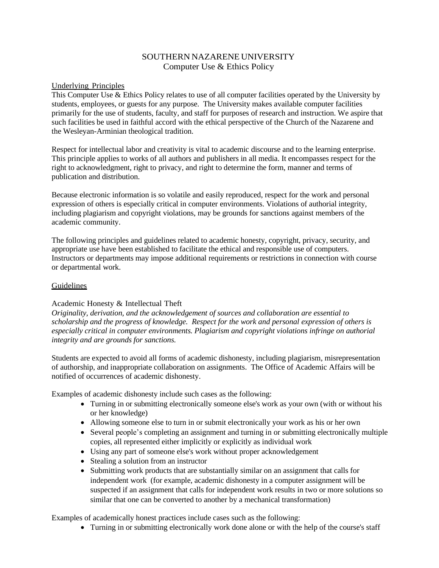# SOUTHERN NAZARENE UNIVERSITY Computer Use & Ethics Policy

### Underlying Principles

This Computer Use & Ethics Policy relates to use of all computer facilities operated by the University by students, employees, or guests for any purpose. The University makes available computer facilities primarily for the use of students, faculty, and staff for purposes of research and instruction. We aspire that such facilities be used in faithful accord with the ethical perspective of the Church of the Nazarene and the Wesleyan-Arminian theological tradition.

Respect for intellectual labor and creativity is vital to academic discourse and to the learning enterprise. This principle applies to works of all authors and publishers in all media. It encompasses respect for the right to acknowledgment, right to privacy, and right to determine the form, manner and terms of publication and distribution.

Because electronic information is so volatile and easily reproduced, respect for the work and personal expression of others is especially critical in computer environments. Violations of authorial integrity, including plagiarism and copyright violations, may be grounds for sanctions against members of the academic community.

The following principles and guidelines related to academic honesty, copyright, privacy, security, and appropriate use have been established to facilitate the ethical and responsible use of computers. Instructors or departments may impose additional requirements or restrictions in connection with course or departmental work.

### **Guidelines**

## Academic Honesty & Intellectual Theft

*Originality, derivation, and the acknowledgement of sources and collaboration are essential to scholarship and the progress of knowledge. Respect for the work and personal expression of others is especially critical in computer environments. Plagiarism and copyright violations infringe on authorial integrity and are grounds for sanctions.*

Students are expected to avoid all forms of academic dishonesty, including plagiarism, misrepresentation of authorship, and inappropriate collaboration on assignments. The Office of Academic Affairs will be notified of occurrences of academic dishonesty.

Examples of academic dishonesty include such cases as the following:

- Turning in or submitting electronically someone else's work as your own (with or without his or her knowledge)
- Allowing someone else to turn in or submit electronically your work as his or her own
- Several people's completing an assignment and turning in or submitting electronically multiple copies, all represented either implicitly or explicitly as individual work
- Using any part of someone else's work without proper acknowledgement
- Stealing a solution from an instructor
- Submitting work products that are substantially similar on an assignment that calls for independent work (for example, academic dishonesty in a computer assignment will be suspected if an assignment that calls for independent work results in two or more solutions so similar that one can be converted to another by a mechanical transformation)

Examples of academically honest practices include cases such as the following:

• Turning in or submitting electronically work done alone or with the help of the course's staff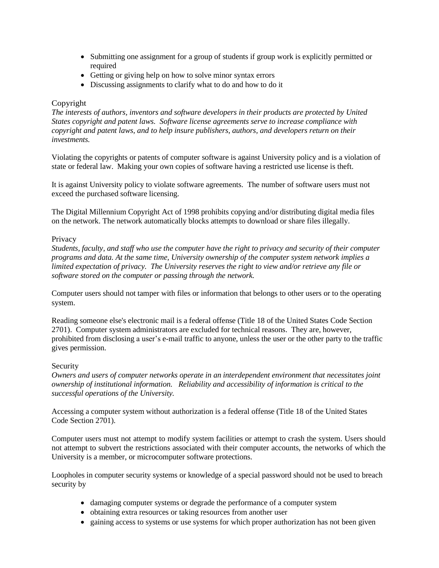- Submitting one assignment for a group of students if group work is explicitly permitted or required
- Getting or giving help on how to solve minor syntax errors
- Discussing assignments to clarify what to do and how to do it

## Copyright

*The interests of authors, inventors and software developers in their products are protected by United States copyright and patent laws. Software license agreements serve to increase compliance with copyright and patent laws, and to help insure publishers, authors, and developers return on their investments.*

Violating the copyrights or patents of computer software is against University policy and is a violation of state or federal law. Making your own copies of software having a restricted use license is theft.

It is against University policy to violate software agreements. The number of software users must not exceed the purchased software licensing.

The Digital Millennium Copyright Act of 1998 prohibits copying and/or distributing digital media files on the network. The network automatically blocks attempts to download or share files illegally.

### Privacy

*Students, faculty, and staff who use the computer have the right to privacy and security of their computer programs and data. At the same time, University ownership of the computer system network implies a limited expectation of privacy. The University reserves the right to view and/or retrieve any file or software stored on the computer or passing through the network.*

Computer users should not tamper with files or information that belongs to other users or to the operating system.

Reading someone else's electronic mail is a federal offense (Title 18 of the United States Code Section 2701). Computer system administrators are excluded for technical reasons. They are, however, prohibited from disclosing a user's e-mail traffic to anyone, unless the user or the other party to the traffic gives permission.

### Security

*Owners and users of computer networks operate in an interdependent environment that necessitates joint ownership of institutional information. Reliability and accessibility of information is critical to the successful operations of the University.*

Accessing a computer system without authorization is a federal offense (Title 18 of the United States Code Section 2701).

Computer users must not attempt to modify system facilities or attempt to crash the system. Users should not attempt to subvert the restrictions associated with their computer accounts, the networks of which the University is a member, or microcomputer software protections.

Loopholes in computer security systems or knowledge of a special password should not be used to breach security by

- damaging computer systems or degrade the performance of a computer system
- obtaining extra resources or taking resources from another user
- gaining access to systems or use systems for which proper authorization has not been given